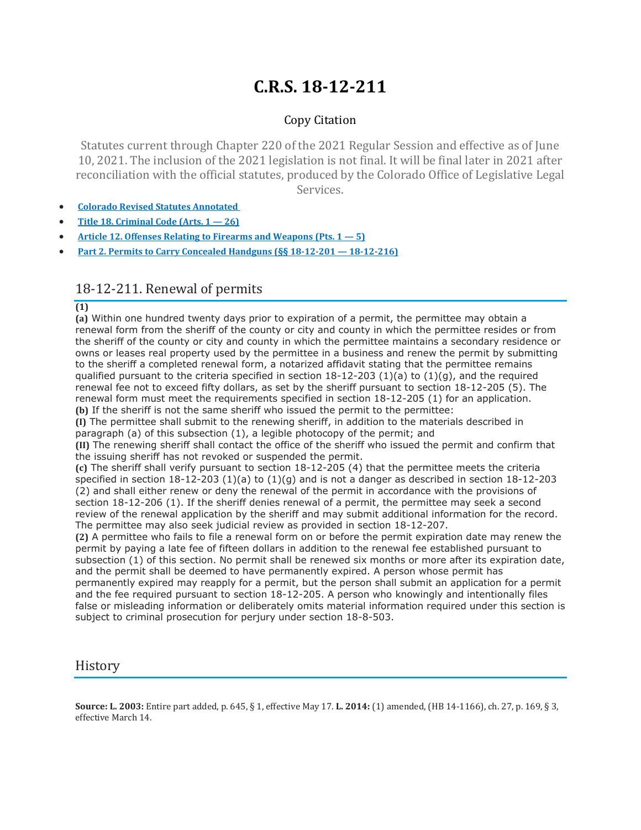## **C.R.S. 18-12-211**

## Copy Citation

Statutes current through Chapter 220 of the 2021 Regular Session and effective as of June 10, 2021. The inclusion of the 2021 legislation is not final. It will be final later in 2021 after reconciliation with the official statutes, produced by the Colorado Office of Legislative Legal Services.

- **Colorado Revised Statutes [Annotated](https://advance.lexis.com/documentpage/?pdmfid=1000516&crid=d3628a43-6dd8-47ba-a41b-ec220137475a&pdistocdocslideraccess=true&config=014FJAAyNGJkY2Y4Zi1mNjgyLTRkN2YtYmE4OS03NTYzNzYzOTg0OGEKAFBvZENhdGFsb2d592qv2Kywlf8caKqYROP5&pddocfullpath=%2Fshared%2Fdocument%2Fstatutes-legislation%2Furn%3AcontentItem%3A61P5-WSW1-DYDC-J3D6-00008-00&pdcomponentid=234177&pdtocnodeidentifier=AASAAWAACAAL&ecomp=sssdkkk&prid=2c1d0db9-4fe7-4cbd-8c99-1b48655d6892)**
- **Title 18. [Criminal](https://advance.lexis.com/documentpage/?pdmfid=1000516&crid=d3628a43-6dd8-47ba-a41b-ec220137475a&pdistocdocslideraccess=true&config=014FJAAyNGJkY2Y4Zi1mNjgyLTRkN2YtYmE4OS03NTYzNzYzOTg0OGEKAFBvZENhdGFsb2d592qv2Kywlf8caKqYROP5&pddocfullpath=%2Fshared%2Fdocument%2Fstatutes-legislation%2Furn%3AcontentItem%3A61P5-WSW1-DYDC-J3D6-00008-00&pdcomponentid=234177&pdtocnodeidentifier=AASAAWAACAAL&ecomp=sssdkkk&prid=2c1d0db9-4fe7-4cbd-8c99-1b48655d6892) Code (Arts. 1 — 26)**
- **Article 12. Offenses Relating to Firearms and [Weapons](https://advance.lexis.com/documentpage/?pdmfid=1000516&crid=d3628a43-6dd8-47ba-a41b-ec220137475a&pdistocdocslideraccess=true&config=014FJAAyNGJkY2Y4Zi1mNjgyLTRkN2YtYmE4OS03NTYzNzYzOTg0OGEKAFBvZENhdGFsb2d592qv2Kywlf8caKqYROP5&pddocfullpath=%2Fshared%2Fdocument%2Fstatutes-legislation%2Furn%3AcontentItem%3A61P5-WSW1-DYDC-J3D6-00008-00&pdcomponentid=234177&pdtocnodeidentifier=AASAAWAACAAL&ecomp=sssdkkk&prid=2c1d0db9-4fe7-4cbd-8c99-1b48655d6892) (Pts. 1 — 5)**
- **Part 2. Permits to Carry Concealed Handguns (§§ 18-12-201 — [18-12-216\)](https://advance.lexis.com/documentpage/?pdmfid=1000516&crid=d3628a43-6dd8-47ba-a41b-ec220137475a&pdistocdocslideraccess=true&config=014FJAAyNGJkY2Y4Zi1mNjgyLTRkN2YtYmE4OS03NTYzNzYzOTg0OGEKAFBvZENhdGFsb2d592qv2Kywlf8caKqYROP5&pddocfullpath=%2Fshared%2Fdocument%2Fstatutes-legislation%2Furn%3AcontentItem%3A61P5-WSW1-DYDC-J3D6-00008-00&pdcomponentid=234177&pdtocnodeidentifier=AASAAWAACAAL&ecomp=sssdkkk&prid=2c1d0db9-4fe7-4cbd-8c99-1b48655d6892)**

## 18-12-211. Renewal of permits

**(1)**

**(a)** Within one hundred twenty days prior to expiration of a permit, the permittee may obtain a renewal form from the sheriff of the county or city and county in which the permittee resides or from the sheriff of the county or city and county in which the permittee maintains a secondary residence or owns or leases real property used by the permittee in a business and renew the permit by submitting to the sheriff a completed renewal form, a notarized affidavit stating that the permittee remains qualified pursuant to the criteria specified in section  $18-12-203$  (1)(a) to (1)(g), and the required renewal fee not to exceed fifty dollars, as set by the sheriff pursuant to section 18-12-205 (5). The renewal form must meet the requirements specified in section 18-12-205 (1) for an application. **(b)** If the sheriff is not the same sheriff who issued the permit to the permittee:

**(I)** The permittee shall submit to the renewing sheriff, in addition to the materials described in paragraph (a) of this subsection (1), a legible photocopy of the permit; and

**(II)** The renewing sheriff shall contact the office of the sheriff who issued the permit and confirm that the issuing sheriff has not revoked or suspended the permit.

**(c)** The sheriff shall verify pursuant to section 18-12-205 (4) that the permittee meets the criteria specified in section 18-12-203 (1)(a) to (1)(g) and is not a danger as described in section 18-12-203 (2) and shall either renew or deny the renewal of the permit in accordance with the provisions of section 18-12-206 (1). If the sheriff denies renewal of a permit, the permittee may seek a second review of the renewal application by the sheriff and may submit additional information for the record. The permittee may also seek judicial review as provided in section 18-12-207.

**(2)** A permittee who fails to file a renewal form on or before the permit expiration date may renew the permit by paying a late fee of fifteen dollars in addition to the renewal fee established pursuant to subsection (1) of this section. No permit shall be renewed six months or more after its expiration date, and the permit shall be deemed to have permanently expired. A person whose permit has permanently expired may reapply for a permit, but the person shall submit an application for a permit and the fee required pursuant to section 18-12-205. A person who knowingly and intentionally files false or misleading information or deliberately omits material information required under this section is subject to criminal prosecution for perjury under section 18-8-503.

## **History**

**Source: L. 2003:** Entire part added, p. 645, § 1, effective May 17. **L. 2014:** (1) amended, (HB 14-1166), ch. 27, p. 169, § 3, effective March 14.